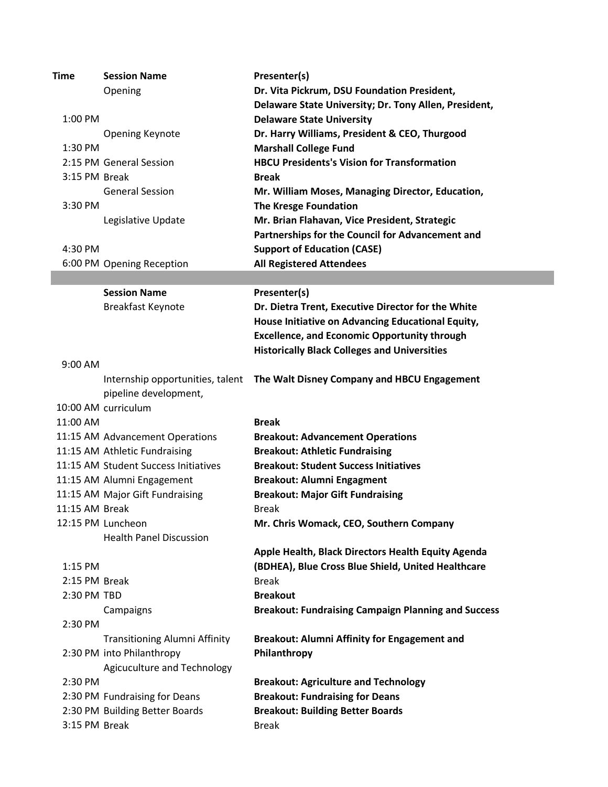| Dr. Vita Pickrum, DSU Foundation President,<br>Opening<br>Delaware State University; Dr. Tony Allen, President,<br>1:00 PM<br><b>Delaware State University</b><br>Dr. Harry Williams, President & CEO, Thurgood<br><b>Opening Keynote</b><br><b>Marshall College Fund</b><br>1:30 PM<br><b>HBCU Presidents's Vision for Transformation</b><br>2:15 PM General Session<br>3:15 PM Break<br><b>Break</b><br><b>General Session</b><br>Mr. William Moses, Managing Director, Education,<br><b>The Kresge Foundation</b><br>3:30 PM<br>Mr. Brian Flahavan, Vice President, Strategic<br>Legislative Update<br>Partnerships for the Council for Advancement and<br><b>Support of Education (CASE)</b><br>4:30 PM<br><b>All Registered Attendees</b><br>6:00 PM Opening Reception<br><b>Session Name</b><br>Presenter(s)<br>Breakfast Keynote<br>Dr. Dietra Trent, Executive Director for the White<br>House Initiative on Advancing Educational Equity,<br><b>Excellence, and Economic Opportunity through</b><br><b>Historically Black Colleges and Universities</b><br>9:00 AM<br>The Walt Disney Company and HBCU Engagement<br>Internship opportunities, talent<br>pipeline development,<br>10:00 AM curriculum<br>11:00 AM<br><b>Break</b><br>11:15 AM Advancement Operations<br><b>Breakout: Advancement Operations</b><br>11:15 AM Athletic Fundraising<br><b>Breakout: Athletic Fundraising</b><br>11:15 AM Student Success Initiatives<br><b>Breakout: Student Success Initiatives</b><br>11:15 AM Alumni Engagement<br><b>Breakout: Alumni Engagment</b><br>11:15 AM Major Gift Fundraising<br><b>Breakout: Major Gift Fundraising</b><br>11:15 AM Break<br><b>Break</b><br>12:15 PM Luncheon<br>Mr. Chris Womack, CEO, Southern Company<br><b>Health Panel Discussion</b><br>Apple Health, Black Directors Health Equity Agenda<br>(BDHEA), Blue Cross Blue Shield, United Healthcare<br>$1:15$ PM | <b>Time</b> | <b>Session Name</b> | Presenter(s) |
|----------------------------------------------------------------------------------------------------------------------------------------------------------------------------------------------------------------------------------------------------------------------------------------------------------------------------------------------------------------------------------------------------------------------------------------------------------------------------------------------------------------------------------------------------------------------------------------------------------------------------------------------------------------------------------------------------------------------------------------------------------------------------------------------------------------------------------------------------------------------------------------------------------------------------------------------------------------------------------------------------------------------------------------------------------------------------------------------------------------------------------------------------------------------------------------------------------------------------------------------------------------------------------------------------------------------------------------------------------------------------------------------------------------------------------------------------------------------------------------------------------------------------------------------------------------------------------------------------------------------------------------------------------------------------------------------------------------------------------------------------------------------------------------------------------------------------------------------------------------------------------------------------------|-------------|---------------------|--------------|
|                                                                                                                                                                                                                                                                                                                                                                                                                                                                                                                                                                                                                                                                                                                                                                                                                                                                                                                                                                                                                                                                                                                                                                                                                                                                                                                                                                                                                                                                                                                                                                                                                                                                                                                                                                                                                                                                                                          |             |                     |              |
|                                                                                                                                                                                                                                                                                                                                                                                                                                                                                                                                                                                                                                                                                                                                                                                                                                                                                                                                                                                                                                                                                                                                                                                                                                                                                                                                                                                                                                                                                                                                                                                                                                                                                                                                                                                                                                                                                                          |             |                     |              |
|                                                                                                                                                                                                                                                                                                                                                                                                                                                                                                                                                                                                                                                                                                                                                                                                                                                                                                                                                                                                                                                                                                                                                                                                                                                                                                                                                                                                                                                                                                                                                                                                                                                                                                                                                                                                                                                                                                          |             |                     |              |
|                                                                                                                                                                                                                                                                                                                                                                                                                                                                                                                                                                                                                                                                                                                                                                                                                                                                                                                                                                                                                                                                                                                                                                                                                                                                                                                                                                                                                                                                                                                                                                                                                                                                                                                                                                                                                                                                                                          |             |                     |              |
|                                                                                                                                                                                                                                                                                                                                                                                                                                                                                                                                                                                                                                                                                                                                                                                                                                                                                                                                                                                                                                                                                                                                                                                                                                                                                                                                                                                                                                                                                                                                                                                                                                                                                                                                                                                                                                                                                                          |             |                     |              |
|                                                                                                                                                                                                                                                                                                                                                                                                                                                                                                                                                                                                                                                                                                                                                                                                                                                                                                                                                                                                                                                                                                                                                                                                                                                                                                                                                                                                                                                                                                                                                                                                                                                                                                                                                                                                                                                                                                          |             |                     |              |
|                                                                                                                                                                                                                                                                                                                                                                                                                                                                                                                                                                                                                                                                                                                                                                                                                                                                                                                                                                                                                                                                                                                                                                                                                                                                                                                                                                                                                                                                                                                                                                                                                                                                                                                                                                                                                                                                                                          |             |                     |              |
|                                                                                                                                                                                                                                                                                                                                                                                                                                                                                                                                                                                                                                                                                                                                                                                                                                                                                                                                                                                                                                                                                                                                                                                                                                                                                                                                                                                                                                                                                                                                                                                                                                                                                                                                                                                                                                                                                                          |             |                     |              |
|                                                                                                                                                                                                                                                                                                                                                                                                                                                                                                                                                                                                                                                                                                                                                                                                                                                                                                                                                                                                                                                                                                                                                                                                                                                                                                                                                                                                                                                                                                                                                                                                                                                                                                                                                                                                                                                                                                          |             |                     |              |
|                                                                                                                                                                                                                                                                                                                                                                                                                                                                                                                                                                                                                                                                                                                                                                                                                                                                                                                                                                                                                                                                                                                                                                                                                                                                                                                                                                                                                                                                                                                                                                                                                                                                                                                                                                                                                                                                                                          |             |                     |              |
|                                                                                                                                                                                                                                                                                                                                                                                                                                                                                                                                                                                                                                                                                                                                                                                                                                                                                                                                                                                                                                                                                                                                                                                                                                                                                                                                                                                                                                                                                                                                                                                                                                                                                                                                                                                                                                                                                                          |             |                     |              |
|                                                                                                                                                                                                                                                                                                                                                                                                                                                                                                                                                                                                                                                                                                                                                                                                                                                                                                                                                                                                                                                                                                                                                                                                                                                                                                                                                                                                                                                                                                                                                                                                                                                                                                                                                                                                                                                                                                          |             |                     |              |
|                                                                                                                                                                                                                                                                                                                                                                                                                                                                                                                                                                                                                                                                                                                                                                                                                                                                                                                                                                                                                                                                                                                                                                                                                                                                                                                                                                                                                                                                                                                                                                                                                                                                                                                                                                                                                                                                                                          |             |                     |              |
|                                                                                                                                                                                                                                                                                                                                                                                                                                                                                                                                                                                                                                                                                                                                                                                                                                                                                                                                                                                                                                                                                                                                                                                                                                                                                                                                                                                                                                                                                                                                                                                                                                                                                                                                                                                                                                                                                                          |             |                     |              |
|                                                                                                                                                                                                                                                                                                                                                                                                                                                                                                                                                                                                                                                                                                                                                                                                                                                                                                                                                                                                                                                                                                                                                                                                                                                                                                                                                                                                                                                                                                                                                                                                                                                                                                                                                                                                                                                                                                          |             |                     |              |
|                                                                                                                                                                                                                                                                                                                                                                                                                                                                                                                                                                                                                                                                                                                                                                                                                                                                                                                                                                                                                                                                                                                                                                                                                                                                                                                                                                                                                                                                                                                                                                                                                                                                                                                                                                                                                                                                                                          |             |                     |              |
|                                                                                                                                                                                                                                                                                                                                                                                                                                                                                                                                                                                                                                                                                                                                                                                                                                                                                                                                                                                                                                                                                                                                                                                                                                                                                                                                                                                                                                                                                                                                                                                                                                                                                                                                                                                                                                                                                                          |             |                     |              |
|                                                                                                                                                                                                                                                                                                                                                                                                                                                                                                                                                                                                                                                                                                                                                                                                                                                                                                                                                                                                                                                                                                                                                                                                                                                                                                                                                                                                                                                                                                                                                                                                                                                                                                                                                                                                                                                                                                          |             |                     |              |
|                                                                                                                                                                                                                                                                                                                                                                                                                                                                                                                                                                                                                                                                                                                                                                                                                                                                                                                                                                                                                                                                                                                                                                                                                                                                                                                                                                                                                                                                                                                                                                                                                                                                                                                                                                                                                                                                                                          |             |                     |              |
|                                                                                                                                                                                                                                                                                                                                                                                                                                                                                                                                                                                                                                                                                                                                                                                                                                                                                                                                                                                                                                                                                                                                                                                                                                                                                                                                                                                                                                                                                                                                                                                                                                                                                                                                                                                                                                                                                                          |             |                     |              |
|                                                                                                                                                                                                                                                                                                                                                                                                                                                                                                                                                                                                                                                                                                                                                                                                                                                                                                                                                                                                                                                                                                                                                                                                                                                                                                                                                                                                                                                                                                                                                                                                                                                                                                                                                                                                                                                                                                          |             |                     |              |
|                                                                                                                                                                                                                                                                                                                                                                                                                                                                                                                                                                                                                                                                                                                                                                                                                                                                                                                                                                                                                                                                                                                                                                                                                                                                                                                                                                                                                                                                                                                                                                                                                                                                                                                                                                                                                                                                                                          |             |                     |              |
|                                                                                                                                                                                                                                                                                                                                                                                                                                                                                                                                                                                                                                                                                                                                                                                                                                                                                                                                                                                                                                                                                                                                                                                                                                                                                                                                                                                                                                                                                                                                                                                                                                                                                                                                                                                                                                                                                                          |             |                     |              |
|                                                                                                                                                                                                                                                                                                                                                                                                                                                                                                                                                                                                                                                                                                                                                                                                                                                                                                                                                                                                                                                                                                                                                                                                                                                                                                                                                                                                                                                                                                                                                                                                                                                                                                                                                                                                                                                                                                          |             |                     |              |
|                                                                                                                                                                                                                                                                                                                                                                                                                                                                                                                                                                                                                                                                                                                                                                                                                                                                                                                                                                                                                                                                                                                                                                                                                                                                                                                                                                                                                                                                                                                                                                                                                                                                                                                                                                                                                                                                                                          |             |                     |              |
|                                                                                                                                                                                                                                                                                                                                                                                                                                                                                                                                                                                                                                                                                                                                                                                                                                                                                                                                                                                                                                                                                                                                                                                                                                                                                                                                                                                                                                                                                                                                                                                                                                                                                                                                                                                                                                                                                                          |             |                     |              |
|                                                                                                                                                                                                                                                                                                                                                                                                                                                                                                                                                                                                                                                                                                                                                                                                                                                                                                                                                                                                                                                                                                                                                                                                                                                                                                                                                                                                                                                                                                                                                                                                                                                                                                                                                                                                                                                                                                          |             |                     |              |
|                                                                                                                                                                                                                                                                                                                                                                                                                                                                                                                                                                                                                                                                                                                                                                                                                                                                                                                                                                                                                                                                                                                                                                                                                                                                                                                                                                                                                                                                                                                                                                                                                                                                                                                                                                                                                                                                                                          |             |                     |              |
|                                                                                                                                                                                                                                                                                                                                                                                                                                                                                                                                                                                                                                                                                                                                                                                                                                                                                                                                                                                                                                                                                                                                                                                                                                                                                                                                                                                                                                                                                                                                                                                                                                                                                                                                                                                                                                                                                                          |             |                     |              |
|                                                                                                                                                                                                                                                                                                                                                                                                                                                                                                                                                                                                                                                                                                                                                                                                                                                                                                                                                                                                                                                                                                                                                                                                                                                                                                                                                                                                                                                                                                                                                                                                                                                                                                                                                                                                                                                                                                          |             |                     |              |
|                                                                                                                                                                                                                                                                                                                                                                                                                                                                                                                                                                                                                                                                                                                                                                                                                                                                                                                                                                                                                                                                                                                                                                                                                                                                                                                                                                                                                                                                                                                                                                                                                                                                                                                                                                                                                                                                                                          |             |                     |              |
|                                                                                                                                                                                                                                                                                                                                                                                                                                                                                                                                                                                                                                                                                                                                                                                                                                                                                                                                                                                                                                                                                                                                                                                                                                                                                                                                                                                                                                                                                                                                                                                                                                                                                                                                                                                                                                                                                                          |             |                     |              |
|                                                                                                                                                                                                                                                                                                                                                                                                                                                                                                                                                                                                                                                                                                                                                                                                                                                                                                                                                                                                                                                                                                                                                                                                                                                                                                                                                                                                                                                                                                                                                                                                                                                                                                                                                                                                                                                                                                          |             |                     |              |
|                                                                                                                                                                                                                                                                                                                                                                                                                                                                                                                                                                                                                                                                                                                                                                                                                                                                                                                                                                                                                                                                                                                                                                                                                                                                                                                                                                                                                                                                                                                                                                                                                                                                                                                                                                                                                                                                                                          |             |                     |              |
|                                                                                                                                                                                                                                                                                                                                                                                                                                                                                                                                                                                                                                                                                                                                                                                                                                                                                                                                                                                                                                                                                                                                                                                                                                                                                                                                                                                                                                                                                                                                                                                                                                                                                                                                                                                                                                                                                                          |             |                     |              |
| 2:30 PM TBD<br><b>Breakout</b>                                                                                                                                                                                                                                                                                                                                                                                                                                                                                                                                                                                                                                                                                                                                                                                                                                                                                                                                                                                                                                                                                                                                                                                                                                                                                                                                                                                                                                                                                                                                                                                                                                                                                                                                                                                                                                                                           |             |                     |              |
|                                                                                                                                                                                                                                                                                                                                                                                                                                                                                                                                                                                                                                                                                                                                                                                                                                                                                                                                                                                                                                                                                                                                                                                                                                                                                                                                                                                                                                                                                                                                                                                                                                                                                                                                                                                                                                                                                                          |             |                     |              |
| <b>Breakout: Fundraising Campaign Planning and Success</b><br>Campaigns                                                                                                                                                                                                                                                                                                                                                                                                                                                                                                                                                                                                                                                                                                                                                                                                                                                                                                                                                                                                                                                                                                                                                                                                                                                                                                                                                                                                                                                                                                                                                                                                                                                                                                                                                                                                                                  |             |                     |              |
| 2:30 PM                                                                                                                                                                                                                                                                                                                                                                                                                                                                                                                                                                                                                                                                                                                                                                                                                                                                                                                                                                                                                                                                                                                                                                                                                                                                                                                                                                                                                                                                                                                                                                                                                                                                                                                                                                                                                                                                                                  |             |                     |              |
| <b>Transitioning Alumni Affinity</b><br><b>Breakout: Alumni Affinity for Engagement and</b>                                                                                                                                                                                                                                                                                                                                                                                                                                                                                                                                                                                                                                                                                                                                                                                                                                                                                                                                                                                                                                                                                                                                                                                                                                                                                                                                                                                                                                                                                                                                                                                                                                                                                                                                                                                                              |             |                     |              |
| 2:30 PM into Philanthropy<br>Philanthropy                                                                                                                                                                                                                                                                                                                                                                                                                                                                                                                                                                                                                                                                                                                                                                                                                                                                                                                                                                                                                                                                                                                                                                                                                                                                                                                                                                                                                                                                                                                                                                                                                                                                                                                                                                                                                                                                |             |                     |              |
| Agicuculture and Technology                                                                                                                                                                                                                                                                                                                                                                                                                                                                                                                                                                                                                                                                                                                                                                                                                                                                                                                                                                                                                                                                                                                                                                                                                                                                                                                                                                                                                                                                                                                                                                                                                                                                                                                                                                                                                                                                              |             |                     |              |
| <b>Breakout: Agriculture and Technology</b><br>2:30 PM                                                                                                                                                                                                                                                                                                                                                                                                                                                                                                                                                                                                                                                                                                                                                                                                                                                                                                                                                                                                                                                                                                                                                                                                                                                                                                                                                                                                                                                                                                                                                                                                                                                                                                                                                                                                                                                   |             |                     |              |
| 2:30 PM Fundraising for Deans<br><b>Breakout: Fundraising for Deans</b>                                                                                                                                                                                                                                                                                                                                                                                                                                                                                                                                                                                                                                                                                                                                                                                                                                                                                                                                                                                                                                                                                                                                                                                                                                                                                                                                                                                                                                                                                                                                                                                                                                                                                                                                                                                                                                  |             |                     |              |
| 2:30 PM Building Better Boards<br><b>Breakout: Building Better Boards</b>                                                                                                                                                                                                                                                                                                                                                                                                                                                                                                                                                                                                                                                                                                                                                                                                                                                                                                                                                                                                                                                                                                                                                                                                                                                                                                                                                                                                                                                                                                                                                                                                                                                                                                                                                                                                                                |             |                     | <b>Break</b> |
| 2:15 PM Break<br><b>Break</b>                                                                                                                                                                                                                                                                                                                                                                                                                                                                                                                                                                                                                                                                                                                                                                                                                                                                                                                                                                                                                                                                                                                                                                                                                                                                                                                                                                                                                                                                                                                                                                                                                                                                                                                                                                                                                                                                            |             |                     |              |
|                                                                                                                                                                                                                                                                                                                                                                                                                                                                                                                                                                                                                                                                                                                                                                                                                                                                                                                                                                                                                                                                                                                                                                                                                                                                                                                                                                                                                                                                                                                                                                                                                                                                                                                                                                                                                                                                                                          |             |                     |              |
|                                                                                                                                                                                                                                                                                                                                                                                                                                                                                                                                                                                                                                                                                                                                                                                                                                                                                                                                                                                                                                                                                                                                                                                                                                                                                                                                                                                                                                                                                                                                                                                                                                                                                                                                                                                                                                                                                                          |             |                     |              |
|                                                                                                                                                                                                                                                                                                                                                                                                                                                                                                                                                                                                                                                                                                                                                                                                                                                                                                                                                                                                                                                                                                                                                                                                                                                                                                                                                                                                                                                                                                                                                                                                                                                                                                                                                                                                                                                                                                          |             |                     |              |
|                                                                                                                                                                                                                                                                                                                                                                                                                                                                                                                                                                                                                                                                                                                                                                                                                                                                                                                                                                                                                                                                                                                                                                                                                                                                                                                                                                                                                                                                                                                                                                                                                                                                                                                                                                                                                                                                                                          |             |                     |              |
|                                                                                                                                                                                                                                                                                                                                                                                                                                                                                                                                                                                                                                                                                                                                                                                                                                                                                                                                                                                                                                                                                                                                                                                                                                                                                                                                                                                                                                                                                                                                                                                                                                                                                                                                                                                                                                                                                                          |             |                     |              |
|                                                                                                                                                                                                                                                                                                                                                                                                                                                                                                                                                                                                                                                                                                                                                                                                                                                                                                                                                                                                                                                                                                                                                                                                                                                                                                                                                                                                                                                                                                                                                                                                                                                                                                                                                                                                                                                                                                          |             |                     |              |
|                                                                                                                                                                                                                                                                                                                                                                                                                                                                                                                                                                                                                                                                                                                                                                                                                                                                                                                                                                                                                                                                                                                                                                                                                                                                                                                                                                                                                                                                                                                                                                                                                                                                                                                                                                                                                                                                                                          |             |                     |              |
|                                                                                                                                                                                                                                                                                                                                                                                                                                                                                                                                                                                                                                                                                                                                                                                                                                                                                                                                                                                                                                                                                                                                                                                                                                                                                                                                                                                                                                                                                                                                                                                                                                                                                                                                                                                                                                                                                                          |             |                     |              |
|                                                                                                                                                                                                                                                                                                                                                                                                                                                                                                                                                                                                                                                                                                                                                                                                                                                                                                                                                                                                                                                                                                                                                                                                                                                                                                                                                                                                                                                                                                                                                                                                                                                                                                                                                                                                                                                                                                          |             |                     |              |
| 3:15 PM Break                                                                                                                                                                                                                                                                                                                                                                                                                                                                                                                                                                                                                                                                                                                                                                                                                                                                                                                                                                                                                                                                                                                                                                                                                                                                                                                                                                                                                                                                                                                                                                                                                                                                                                                                                                                                                                                                                            |             |                     |              |